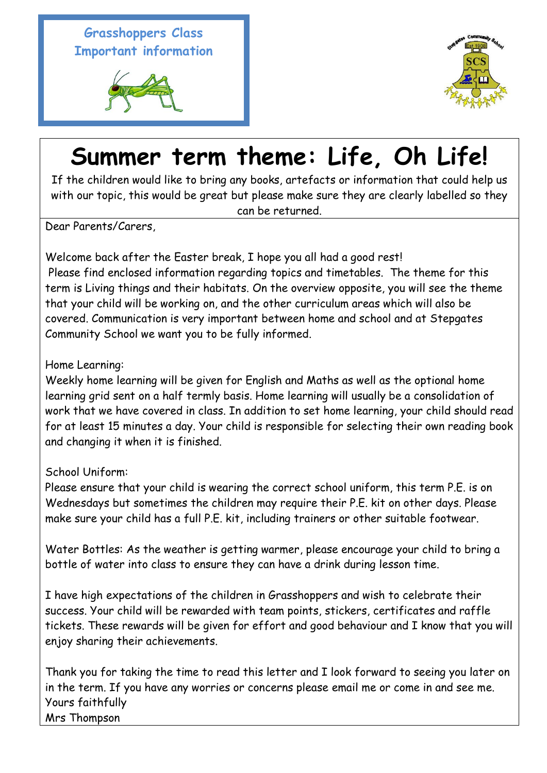**Grasshoppers Class Important information** 





## **Summer term theme: Life, Oh Life!**

If the children would like to bring any books, artefacts or information that could help us with our topic, this would be great but please make sure they are clearly labelled so they can be returned.

Dear Parents/Carers,

Welcome back after the Easter break, I hope you all had a good rest! Please find enclosed information regarding topics and timetables. The theme for this term is Living things and their habitats. On the overview opposite, you will see the theme that your child will be working on, and the other curriculum areas which will also be covered. Communication is very important between home and school and at Stepgates Community School we want you to be fully informed.

Home Learning:

Weekly home learning will be given for English and Maths as well as the optional home learning grid sent on a half termly basis. Home learning will usually be a consolidation of work that we have covered in class. In addition to set home learning, your child should read for at least 15 minutes a day. Your child is responsible for selecting their own reading book and changing it when it is finished.

School Uniform:

Please ensure that your child is wearing the correct school uniform, this term P.E. is on Wednesdays but sometimes the children may require their P.E. kit on other days. Please make sure your child has a full P.E. kit, including trainers or other suitable footwear.

Water Bottles: As the weather is getting warmer, please encourage your child to bring a bottle of water into class to ensure they can have a drink during lesson time.

I have high expectations of the children in Grasshoppers and wish to celebrate their success. Your child will be rewarded with team points, stickers, certificates and raffle tickets. These rewards will be given for effort and good behaviour and I know that you will enjoy sharing their achievements.

Thank you for taking the time to read this letter and I look forward to seeing you later on in the term. If you have any worries or concerns please email me or come in and see me. Yours faithfully Mrs Thompson